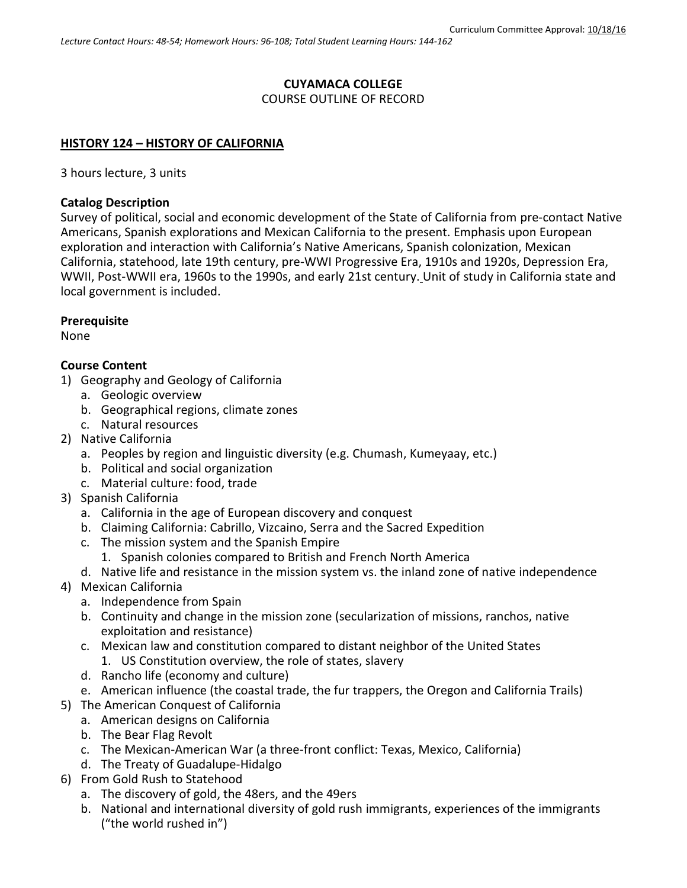## **CUYAMACA COLLEGE**

COURSE OUTLINE OF RECORD

### **HISTORY 124 – HISTORY OF CALIFORNIA**

3 hours lecture, 3 units

## **Catalog Description**

Survey of political, social and economic development of the State of California from pre-contact Native Americans, Spanish explorations and Mexican California to the present. Emphasis upon European exploration and interaction with California's Native Americans, Spanish colonization, Mexican California, statehood, late 19th century, pre-WWI Progressive Era, 1910s and 1920s, Depression Era, WWII, Post-WWII era, 1960s to the 1990s, and early 21st century. Unit of study in California state and local government is included.

## **Prerequisite**

None

### **Course Content**

- 1) Geography and Geology of California
	- a. Geologic overview
	- b. Geographical regions, climate zones
	- c. Natural resources
- 2) Native California
	- a. Peoples by region and linguistic diversity (e.g. Chumash, Kumeyaay, etc.)
	- b. Political and social organization
	- c. Material culture: food, trade
- 3) Spanish California
	- a. California in the age of European discovery and conquest
	- b. Claiming California: Cabrillo, Vizcaino, Serra and the Sacred Expedition
	- c. The mission system and the Spanish Empire
		- 1. Spanish colonies compared to British and French North America
	- d. Native life and resistance in the mission system vs. the inland zone of native independence
- 4) Mexican California
	- a. Independence from Spain
	- b. Continuity and change in the mission zone (secularization of missions, ranchos, native exploitation and resistance)
	- c. Mexican law and constitution compared to distant neighbor of the United States 1. US Constitution overview, the role of states, slavery
	- d. Rancho life (economy and culture)
	- e. American influence (the coastal trade, the fur trappers, the Oregon and California Trails)
- 5) The American Conquest of California
	- a. American designs on California
	- b. The Bear Flag Revolt
	- c. The Mexican-American War (a three-front conflict: Texas, Mexico, California)
	- d. The Treaty of Guadalupe-Hidalgo
- 6) From Gold Rush to Statehood
	- a. The discovery of gold, the 48ers, and the 49ers
	- b. National and international diversity of gold rush immigrants, experiences of the immigrants ("the world rushed in")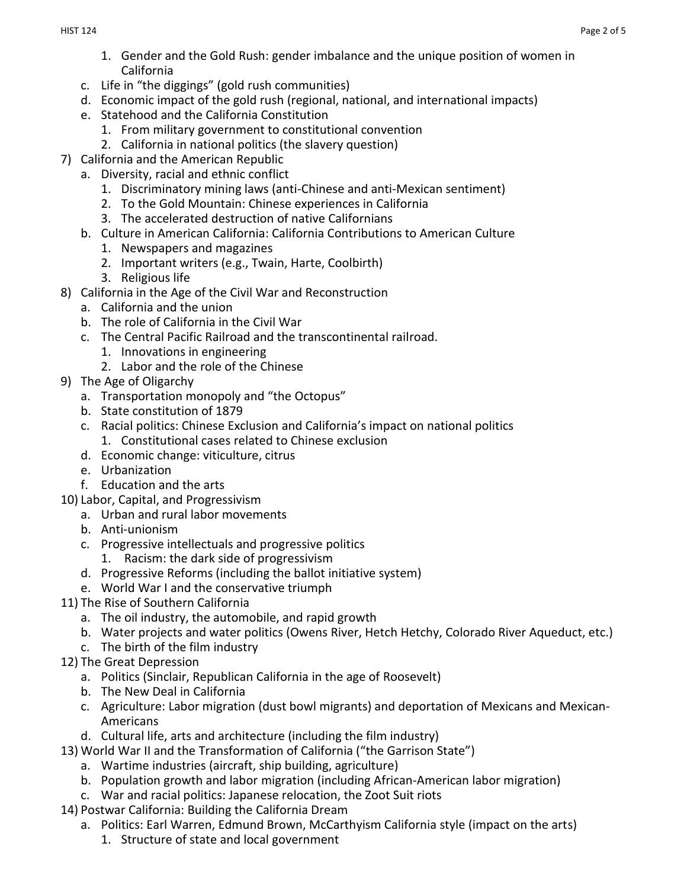- 1. Gender and the Gold Rush: gender imbalance and the unique position of women in California
- c. Life in "the diggings" (gold rush communities)
- d. Economic impact of the gold rush (regional, national, and international impacts)
- e. Statehood and the California Constitution
	- 1. From military government to constitutional convention
	- 2. California in national politics (the slavery question)
- 7) California and the American Republic
	- a. Diversity, racial and ethnic conflict
		- 1. Discriminatory mining laws (anti-Chinese and anti-Mexican sentiment)
		- 2. To the Gold Mountain: Chinese experiences in California
		- 3. The accelerated destruction of native Californians
	- b. Culture in American California: California Contributions to American Culture
		- 1. Newspapers and magazines
		- 2. Important writers (e.g., Twain, Harte, Coolbirth)
		- 3. Religious life
- 8) California in the Age of the Civil War and Reconstruction
	- a. California and the union
		- b. The role of California in the Civil War
		- c. The Central Pacific Railroad and the transcontinental railroad.
			- 1. Innovations in engineering
			- 2. Labor and the role of the Chinese
- 9) The Age of Oligarchy
	- a. Transportation monopoly and "the Octopus"
	- b. State constitution of 1879
	- c. Racial politics: Chinese Exclusion and California's impact on national politics 1. Constitutional cases related to Chinese exclusion
	- d. Economic change: viticulture, citrus
	- e. Urbanization
	- f. Education and the arts
- 10) Labor, Capital, and Progressivism
	- a. Urban and rural labor movements
	- b. Anti-unionism
	- c. Progressive intellectuals and progressive politics
		- 1. Racism: the dark side of progressivism
	- d. Progressive Reforms (including the ballot initiative system)
	- e. World War I and the conservative triumph
- 11) The Rise of Southern California
	- a. The oil industry, the automobile, and rapid growth
	- b. Water projects and water politics (Owens River, Hetch Hetchy, Colorado River Aqueduct, etc.)
	- c. The birth of the film industry
- 12) The Great Depression
	- a. Politics (Sinclair, Republican California in the age of Roosevelt)
	- b. The New Deal in California
	- c. Agriculture: Labor migration (dust bowl migrants) and deportation of Mexicans and Mexican-Americans
	- d. Cultural life, arts and architecture (including the film industry)
- 13) World War II and the Transformation of California ("the Garrison State")
	- a. Wartime industries (aircraft, ship building, agriculture)
	- b. Population growth and labor migration (including African-American labor migration)
	- c. War and racial politics: Japanese relocation, the Zoot Suit riots
- 14) Postwar California: Building the California Dream
	- a. Politics: Earl Warren, Edmund Brown, McCarthyism California style (impact on the arts)
		- 1. Structure of state and local government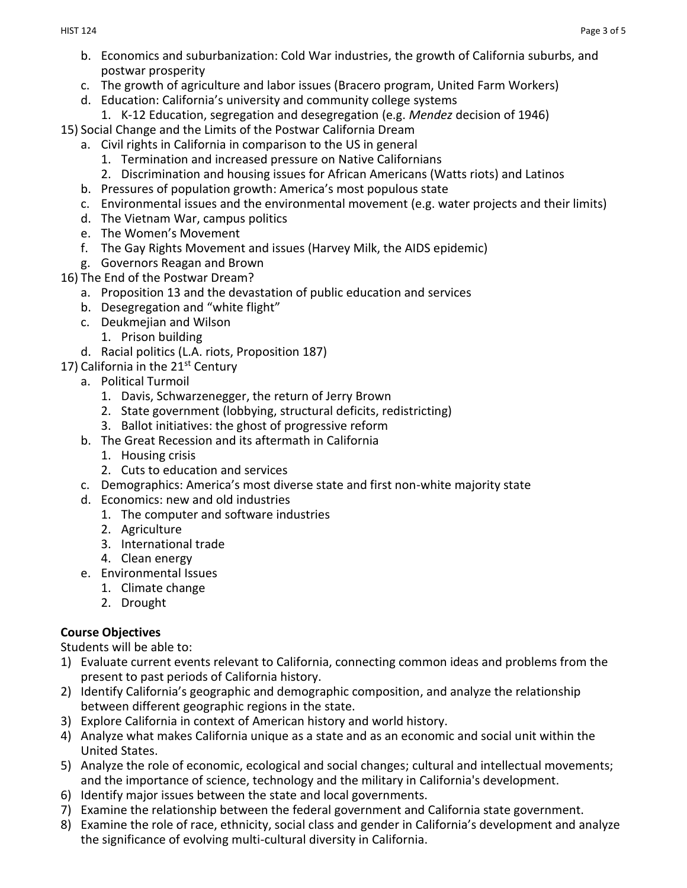- b. Economics and suburbanization: Cold War industries, the growth of California suburbs, and postwar prosperity
- c. The growth of agriculture and labor issues (Bracero program, United Farm Workers)
- d. Education: California's university and community college systems
	- 1. K-12 Education, segregation and desegregation (e.g. *Mendez* decision of 1946)
- 15) Social Change and the Limits of the Postwar California Dream
	- a. Civil rights in California in comparison to the US in general
		- 1. Termination and increased pressure on Native Californians
		- 2. Discrimination and housing issues for African Americans (Watts riots) and Latinos
	- b. Pressures of population growth: America's most populous state
	- c. Environmental issues and the environmental movement (e.g. water projects and their limits)
	- d. The Vietnam War, campus politics
	- e. The Women's Movement
	- f. The Gay Rights Movement and issues (Harvey Milk, the AIDS epidemic)
	- g. Governors Reagan and Brown
- 16) The End of the Postwar Dream?
	- a. Proposition 13 and the devastation of public education and services
	- b. Desegregation and "white flight"
	- c. Deukmejian and Wilson
		- 1. Prison building
	- d. Racial politics (L.A. riots, Proposition 187)
- 17) California in the 21<sup>st</sup> Century
	- a. Political Turmoil
		- 1. Davis, Schwarzenegger, the return of Jerry Brown
		- 2. State government (lobbying, structural deficits, redistricting)
		- 3. Ballot initiatives: the ghost of progressive reform
	- b. The Great Recession and its aftermath in California
		- 1. Housing crisis
		- 2. Cuts to education and services
	- c. Demographics: America's most diverse state and first non-white majority state
	- d. Economics: new and old industries
		- 1. The computer and software industries
		- 2. Agriculture
		- 3. International trade
		- 4. Clean energy
	- e. Environmental Issues
		- 1. Climate change
		- 2. Drought

# **Course Objectives**

Students will be able to:

- 1) Evaluate current events relevant to California, connecting common ideas and problems from the present to past periods of California history.
- 2) Identify California's geographic and demographic composition, and analyze the relationship between different geographic regions in the state.
- 3) Explore California in context of American history and world history.
- 4) Analyze what makes California unique as a state and as an economic and social unit within the United States.
- 5) Analyze the role of economic, ecological and social changes; cultural and intellectual movements; and the importance of science, technology and the military in California's development.
- 6) Identify major issues between the state and local governments.
- 7) Examine the relationship between the federal government and California state government.
- 8) Examine the role of race, ethnicity, social class and gender in California's development and analyze the significance of evolving multi-cultural diversity in California.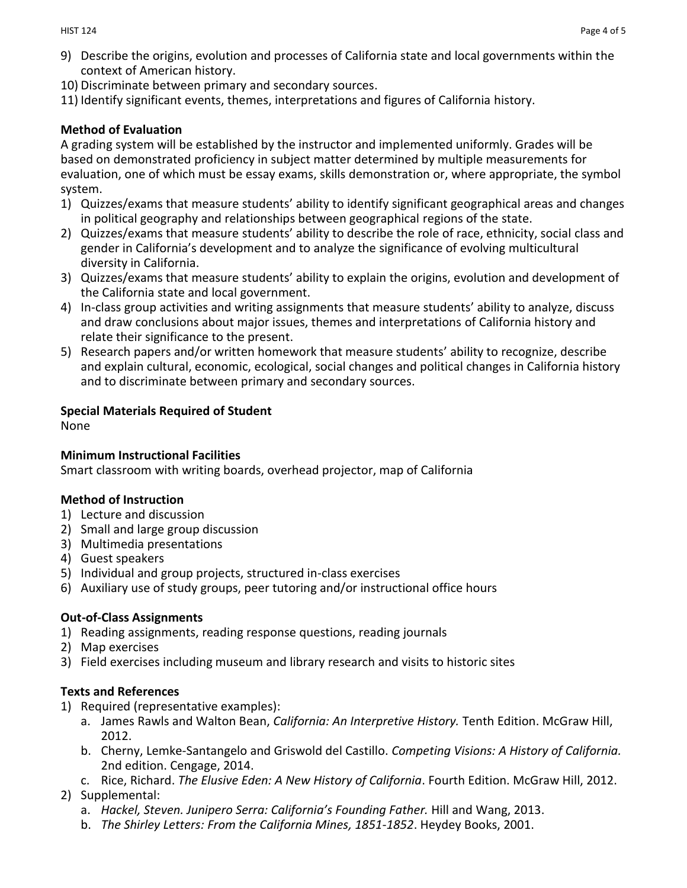- 9) Describe the origins, evolution and processes of California state and local governments within the context of American history.
- 10) Discriminate between primary and secondary sources.
- 11) Identify significant events, themes, interpretations and figures of California history.

### **Method of Evaluation**

A grading system will be established by the instructor and implemented uniformly. Grades will be based on demonstrated proficiency in subject matter determined by multiple measurements for evaluation, one of which must be essay exams, skills demonstration or, where appropriate, the symbol system.

- 1) Quizzes/exams that measure students' ability to identify significant geographical areas and changes in political geography and relationships between geographical regions of the state.
- 2) Quizzes/exams that measure students' ability to describe the role of race, ethnicity, social class and gender in California's development and to analyze the significance of evolving multicultural diversity in California.
- 3) Quizzes/exams that measure students' ability to explain the origins, evolution and development of the California state and local government.
- 4) In-class group activities and writing assignments that measure students' ability to analyze, discuss and draw conclusions about major issues, themes and interpretations of California history and relate their significance to the present.
- 5) Research papers and/or written homework that measure students' ability to recognize, describe and explain cultural, economic, ecological, social changes and political changes in California history and to discriminate between primary and secondary sources.

## **Special Materials Required of Student**

None

### **Minimum Instructional Facilities**

Smart classroom with writing boards, overhead projector, map of California

### **Method of Instruction**

- 1) Lecture and discussion
- 2) Small and large group discussion
- 3) Multimedia presentations
- 4) Guest speakers
- 5) Individual and group projects, structured in-class exercises
- 6) Auxiliary use of study groups, peer tutoring and/or instructional office hours

## **Out-of-Class Assignments**

- 1) Reading assignments, reading response questions, reading journals
- 2) Map exercises
- 3) Field exercises including museum and library research and visits to historic sites

### **Texts and References**

- 1) Required (representative examples):
	- a. James Rawls and Walton Bean, *California: An Interpretive History.* Tenth Edition. McGraw Hill, 2012.
	- b. Cherny, Lemke-Santangelo and Griswold del Castillo. *Competing Visions: A History of California.*  2nd edition. Cengage, 2014.
	- c. Rice, Richard. *The Elusive Eden: A New History of California*. Fourth Edition. McGraw Hill, 2012.

### 2) Supplemental:

- a. *Hackel, Steven. Junipero Serra: California's Founding Father.* Hill and Wang, 2013.
- b. *The Shirley Letters: From the California Mines, 1851-1852*. Heydey Books, 2001.